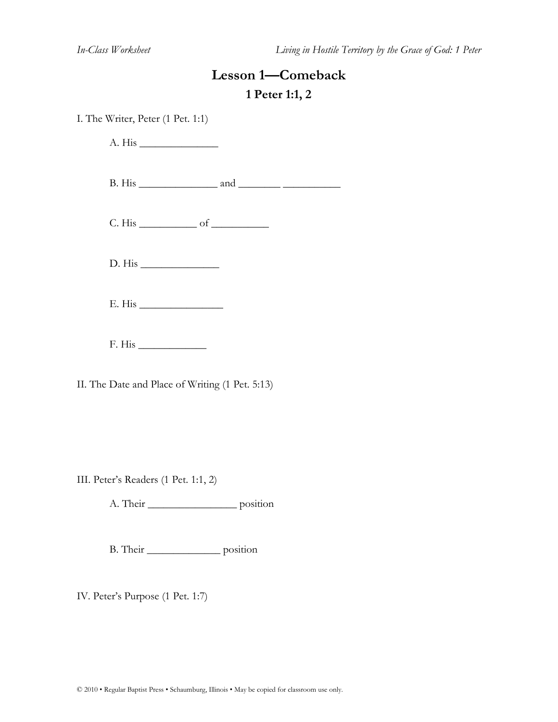# **Lesson 1—Comeback 1 Peter 1:1, 2**

I. The Writer, Peter (1 Pet. 1:1)

 $A. His$ B. His \_\_\_\_\_\_\_\_\_\_\_\_\_\_\_ and \_\_\_\_\_\_\_\_ \_\_\_\_\_\_\_\_\_\_\_  $C. His _______ of _______$ D. His \_\_\_\_\_\_\_\_\_\_\_\_\_\_\_  $E. His$ 

F. His \_\_\_\_\_\_\_\_\_\_\_\_\_

II. The Date and Place of Writing (1 Pet. 5:13)

III. Peter's Readers (1 Pet. 1:1, 2)

A. Their \_\_\_\_\_\_\_\_\_\_\_\_\_\_\_\_\_ position

B. Their \_\_\_\_\_\_\_\_\_\_\_\_\_\_ position

IV. Peter's Purpose (1 Pet. 1:7)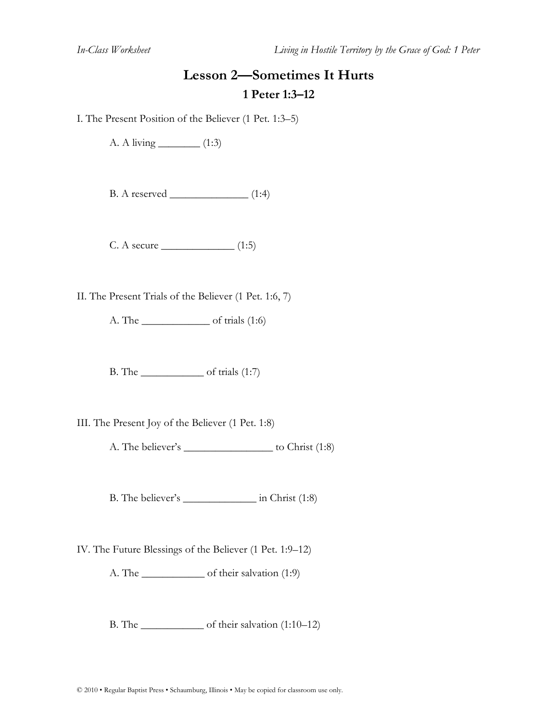### **Lesson 2—Sometimes It Hurts 1 Peter 1:3–12**

I. The Present Position of the Believer (1 Pet. 1:3–5)

A. A living \_\_\_\_\_\_\_\_ (1:3)

B. A reserved \_\_\_\_\_\_\_\_\_\_\_\_\_\_\_ (1:4)

 $C. A secure$  (1:5)

II. The Present Trials of the Believer (1 Pet. 1:6, 7)

A. The \_\_\_\_\_\_\_\_\_\_\_\_\_ of trials (1:6)

B. The  $\qquad$  of trials (1:7)

III. The Present Joy of the Believer (1 Pet. 1:8)

A. The believer's \_\_\_\_\_\_\_\_\_\_\_\_\_\_\_\_\_\_\_\_\_\_ to Christ (1:8)

B. The believer's \_\_\_\_\_\_\_\_\_\_\_\_\_\_ in Christ (1:8)

IV. The Future Blessings of the Believer (1 Pet. 1:9–12)

A. The of their salvation (1:9)

B. The \_\_\_\_\_\_\_\_\_\_\_\_\_ of their salvation (1:10–12)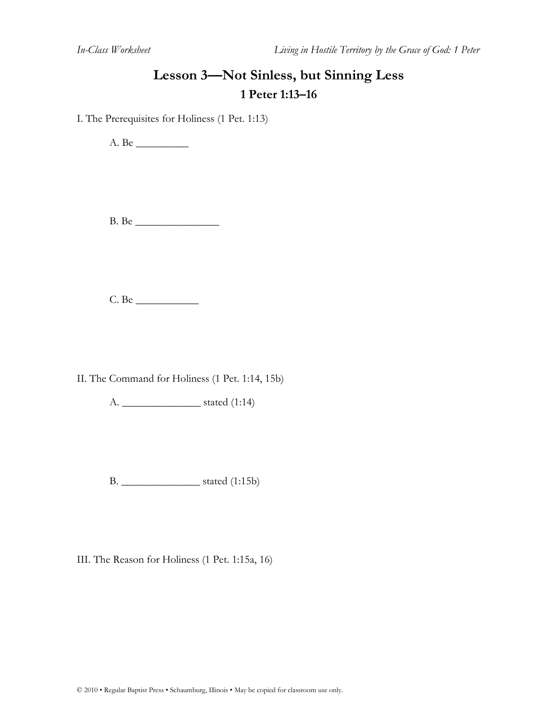### **Lesson 3—Not Sinless, but Sinning Less 1 Peter 1:13–16**

I. The Prerequisites for Holiness (1 Pet. 1:13)

A. Be \_\_\_\_\_\_\_\_\_\_

B. Be \_\_\_\_\_\_\_\_\_\_\_\_\_\_\_\_

C. Be \_\_\_\_\_\_\_\_\_\_\_\_

II. The Command for Holiness (1 Pet. 1:14, 15b)

A. \_\_\_\_\_\_\_\_\_\_\_\_\_\_\_ stated (1:14)

B. \_\_\_\_\_\_\_\_\_\_\_\_\_\_\_ stated (1:15b)

III. The Reason for Holiness (1 Pet. 1:15a, 16)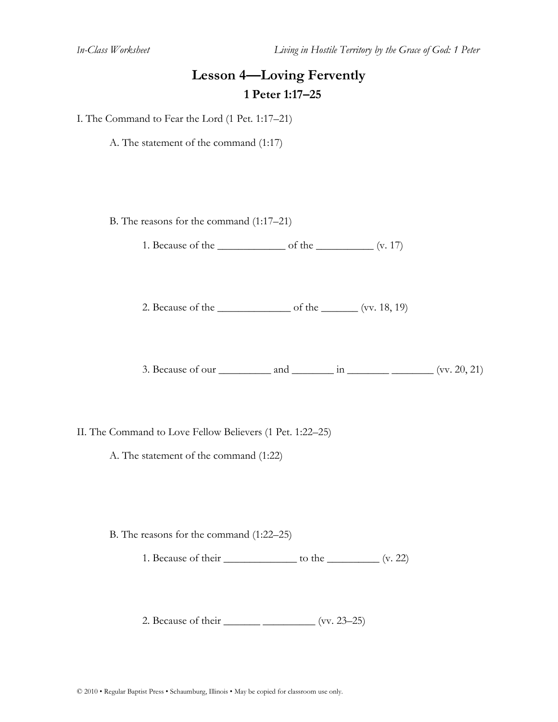### **Lesson 4—Loving Fervently 1 Peter 1:17–25**

I. The Command to Fear the Lord (1 Pet. 1:17–21)

A. The statement of the command (1:17)

B. The reasons for the command (1:17–21)

1. Because of the \_\_\_\_\_\_\_\_\_\_\_\_\_ of the \_\_\_\_\_\_\_\_\_\_\_ (v. 17)

2. Because of the  $\qquad \qquad$  of the  $\qquad \qquad$  (vv. 18, 19)

3. Because of our  $\frac{\cdot}{\cdot}$  and  $\frac{\cdot}{\cdot}$  in  $\frac{\cdot}{\cdot}$   $\cdot$   $\cdot$   $\cdot$   $\cdot$   $\cdot$   $($ vv. 20, 21)

II. The Command to Love Fellow Believers (1 Pet. 1:22–25)

A. The statement of the command (1:22)

B. The reasons for the command (1:22–25)

1. Because of their  $\qquad \qquad$  to the  $\qquad \qquad$  (v. 22)

2. Because of their \_\_\_\_\_\_\_\_\_\_\_\_\_\_\_\_\_\_\_\_\_\_ (vv. 23–25)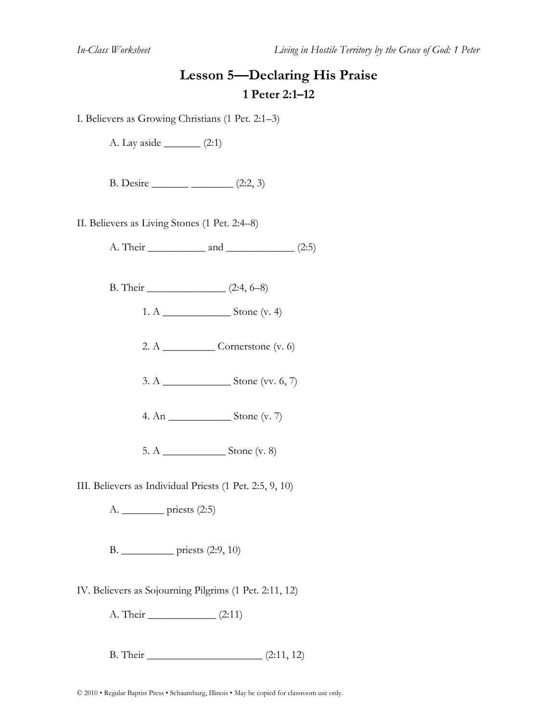# **Lesson 5—Declaring His Praise 1 Peter 2:1–12**

I. Believers as Growing Christians (1 Pet. 2:1–3)

A. Lay aside  $(2:1)$ 

B. Desire \_\_\_\_\_\_\_ \_\_\_\_\_\_\_\_ (2:2, 3)

II. Believers as Living Stones (1 Pet. 2:4–8)

A. Their  $\qquad \qquad$  and  $\qquad \qquad$  (2:5)

B. Their \_\_\_\_\_\_\_\_\_\_\_\_\_\_\_ (2:4, 6–8)

1. A \_\_\_\_\_\_\_\_\_\_\_\_\_ Stone (v. 4)

2. A  $\qquad$  Cornerstone (v. 6)

3. A \_\_\_\_\_\_\_\_\_\_\_\_\_ Stone (vv. 6, 7)

4. An \_\_\_\_\_\_\_\_\_\_\_\_ Stone (v. 7)

5. A \_\_\_\_\_\_\_\_\_\_\_\_ Stone (v. 8)

III. Believers as Individual Priests (1 Pet. 2:5, 9, 10)

A. \_\_\_\_\_\_\_\_ priests (2:5)

B. \_\_\_\_\_\_\_\_\_\_ priests (2:9, 10)

IV. Believers as Sojourning Pilgrims (1 Pet. 2:11, 12)

A. Their  $(2:11)$ 

B. Their \_\_\_\_\_\_\_\_\_\_\_\_\_\_\_\_\_\_\_\_\_\_ (2:11, 12)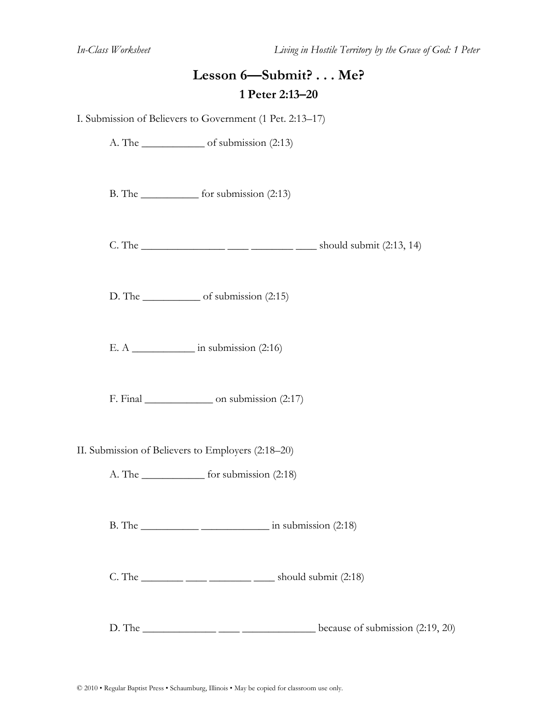### **Lesson 6—Submit? . . . Me? 1 Peter 2:13–20**

I. Submission of Believers to Government (1 Pet. 2:13–17)

A. The \_\_\_\_\_\_\_\_\_\_\_\_\_ of submission (2:13)

B. The \_\_\_\_\_\_\_\_\_\_\_ for submission (2:13)

 $C.$  The  $\frac{C_{12}C_{21}}{C_{12}} = \frac{C_{12}C_{13}}{C_{12}} = \frac{C_{12}C_{13}}{C_{12}} = \frac{C_{12}C_{13}}{C_{12}} = \frac{C_{12}C_{13}}{C_{12}}$ 

D. The of submission  $(2:15)$ 

E. A  $\qquad$  in submission (2:16)

F. Final \_\_\_\_\_\_\_\_\_\_\_\_\_\_\_\_ on submission (2:17)

- II. Submission of Believers to Employers (2:18–20)
	- A. The \_\_\_\_\_\_\_\_\_\_\_\_ for submission (2:18)

B. The  $\frac{1}{2}$  in submission (2:18)

C. The  $\frac{1}{\sqrt{2}}$   $\frac{1}{\sqrt{2}}$   $\frac{1}{\sqrt{2}}$  should submit (2:18)

D. The  $\frac{1}{2}$  because of submission (2:19, 20)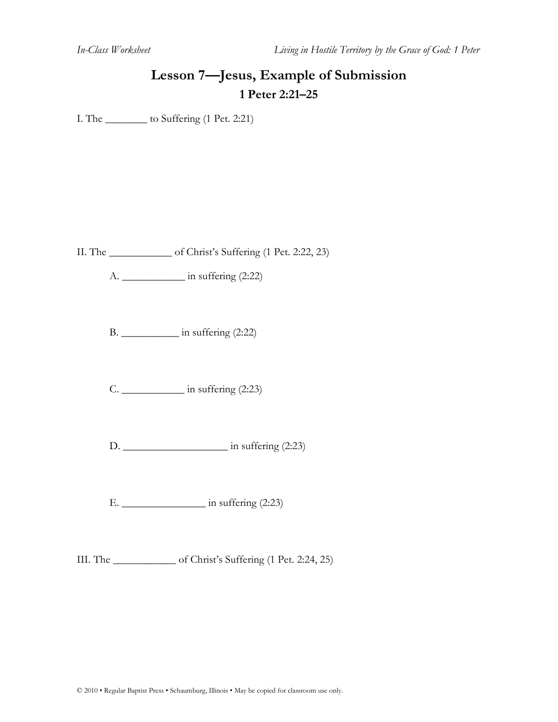# **Lesson 7—Jesus, Example of Submission 1 Peter 2:21–25**

I. The \_\_\_\_\_\_\_\_ to Suffering (1 Pet. 2:21)

II. The \_\_\_\_\_\_\_\_\_\_\_\_ of Christ's Suffering (1 Pet. 2:22, 23)

 $A.$  in suffering  $(2:22)$ 

B. \_\_\_\_\_\_\_\_\_\_\_ in suffering (2:22)

C. \_\_\_\_\_\_\_\_\_\_\_\_ in suffering (2:23)

D. \_\_\_\_\_\_\_\_\_\_\_\_\_\_\_\_\_\_\_\_ in suffering (2:23)

E. \_\_\_\_\_\_\_\_\_\_\_\_\_\_\_\_ in suffering (2:23)

III. The \_\_\_\_\_\_\_\_\_\_\_\_ of Christ's Suffering (1 Pet. 2:24, 25)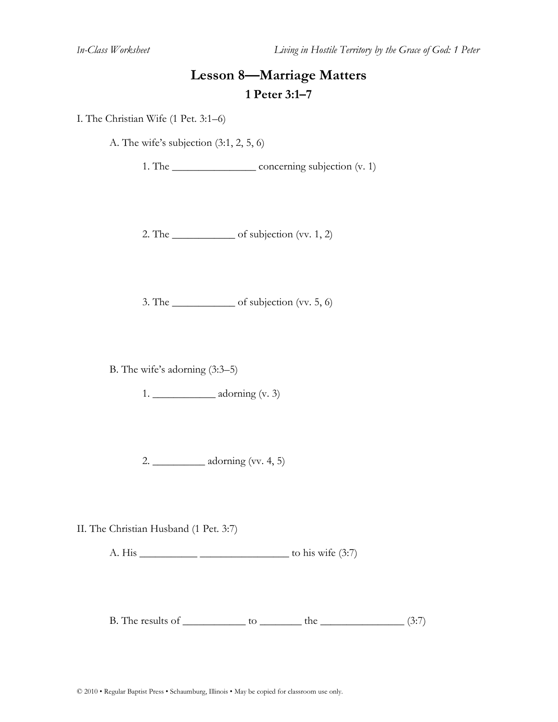### **Lesson 8—Marriage Matters 1 Peter 3:1–7**

I. The Christian Wife (1 Pet. 3:1–6)

A. The wife's subjection (3:1, 2, 5, 6)

1. The \_\_\_\_\_\_\_\_\_\_\_\_\_\_\_\_\_\_\_\_\_\_ concerning subjection (v. 1)

2. The  $\qquad$  of subjection (vv. 1, 2)

3. The  $\qquad$  of subjection (vv. 5, 6)

B. The wife's adorning (3:3–5)

1.  $\qquad \qquad \text{adorning (v. 3)}$ 

2. \_\_\_\_\_\_\_\_\_\_ adorning (vv. 4, 5)

II. The Christian Husband (1 Pet. 3:7)

A. His  $\frac{1}{2}$  to his wife (3:7)

B. The results of  $\qquad$  to  $\qquad$  the  $\qquad$  (3:7)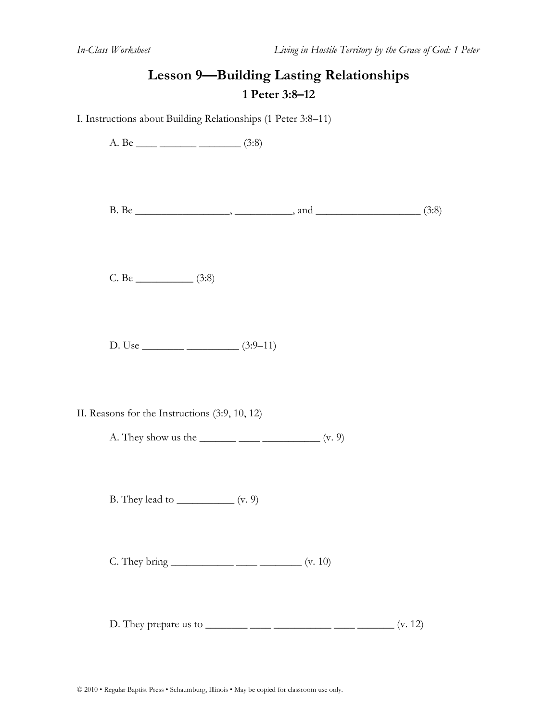# **Lesson 9—Building Lasting Relationships 1 Peter 3:8–12**

I. Instructions about Building Relationships (1 Peter 3:8–11)

| A. Be _____ _________ (3:8)                                                                             |  |  |
|---------------------------------------------------------------------------------------------------------|--|--|
|                                                                                                         |  |  |
|                                                                                                         |  |  |
| D. Use $\frac{\qquad (3:9-11)}{2}$                                                                      |  |  |
| II. Reasons for the Instructions (3:9, 10, 12)<br>A. They show us the $\_\_\_\_\_\_\_\_\_\_\_\_$ (v. 9) |  |  |
| B. They lead to $\_\_\_\_\_\_\_\_\_\$ (v. 9)                                                            |  |  |
|                                                                                                         |  |  |
| D. They prepare us to _________ _____ ___________ _____ (v. 12)                                         |  |  |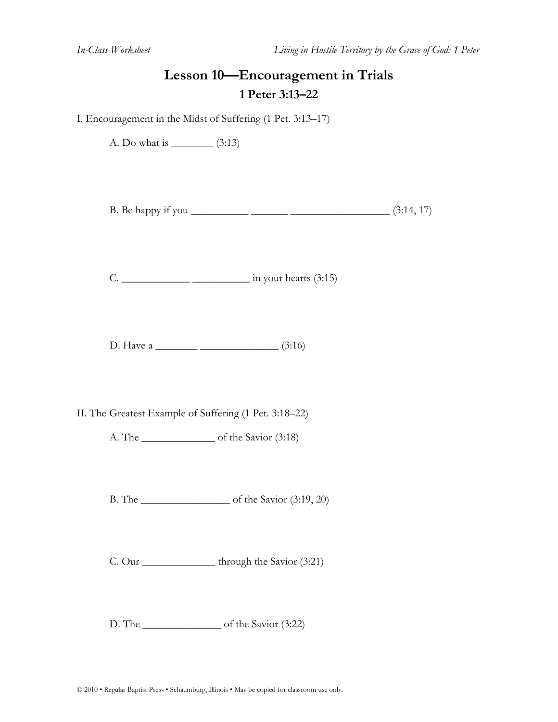#### **Lesson 10—Encouragement in Trials 1 Peter 3:13–22**

I. Encouragement in the Midst of Suffering (1 Pet. 3:13–17)

A. Do what is \_\_\_\_\_\_\_\_ (3:13)

B. Be happy if you \_\_\_\_\_\_\_\_\_\_\_ \_\_\_\_\_\_\_ \_\_\_\_\_\_\_\_\_\_\_\_\_\_\_\_\_\_\_ (3:14, 17)

C. \_\_\_\_\_\_\_\_\_\_\_\_\_ \_\_\_\_\_\_\_\_\_\_\_ in your hearts (3:15)

D. Have a \_\_\_\_\_\_\_\_ \_\_\_\_\_\_\_\_\_\_\_\_\_\_\_ (3:16)

II. The Greatest Example of Suffering (1 Pet. 3:18–22)

A. The \_\_\_\_\_\_\_\_\_\_\_\_\_\_ of the Savior (3:18)

B. The \_\_\_\_\_\_\_\_\_\_\_\_\_\_\_\_\_ of the Savior (3:19, 20)

C. Our hrough the Savior (3:21)

D. The \_\_\_\_\_\_\_\_\_\_\_\_\_\_\_ of the Savior (3:22)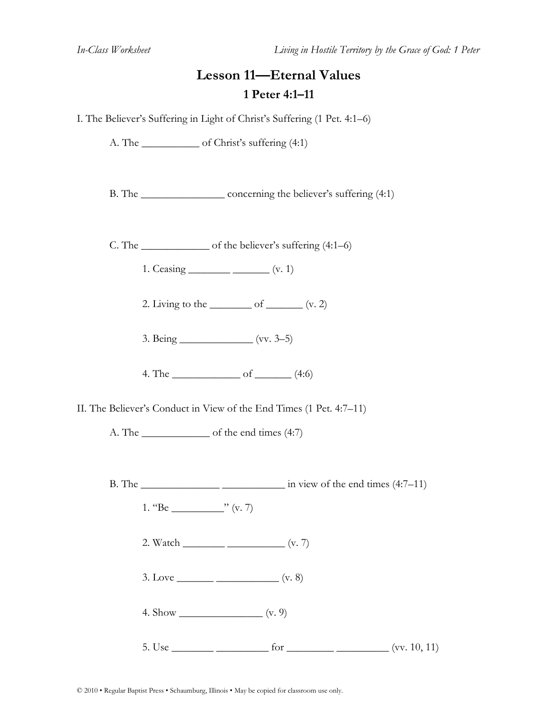### **Lesson 11—Eternal Values 1 Peter 4:1–11**

I. The Believer's Suffering in Light of Christ's Suffering (1 Pet. 4:1–6)

A. The \_\_\_\_\_\_\_\_\_\_\_ of Christ's suffering (4:1)

B. The concerning the believer's suffering (4:1)

C. The  $\qquad \qquad$  of the believer's suffering (4:1–6)

1. Ceasing \_\_\_\_\_\_\_\_\_\_\_ \_\_\_\_\_\_\_ (v. 1)

2. Living to the  $\qquad$  of  $\qquad$   $(v, 2)$ 

3. Being \_\_\_\_\_\_\_\_\_\_\_\_\_\_ (vv. 3–5)

4. The  $\qquad \qquad$  of  $\qquad \qquad$  (4:6)

II. The Believer's Conduct in View of the End Times (1 Pet. 4:7–11)

A. The \_\_\_\_\_\_\_\_\_\_\_\_\_\_\_ of the end times (4:7)

B. The  $\frac{1}{2}$   $\frac{1}{2}$  in view of the end times (4:7–11)

- 1.  ${}^{4}Be$   ${}^{3}$  (v. 7)
	- 2. Watch \_\_\_\_\_\_\_\_ \_\_\_\_\_\_\_\_\_\_\_ (v. 7)
	- 3. Love  $\frac{\ }{\ }$  (v. 8)
	- 4. Show  $\frac{1}{(v. 9)}$
	- 5. Use  $\frac{6}{x}$  for  $\frac{1}{x}$  for  $\frac{1}{x}$  (vv. 10, 11)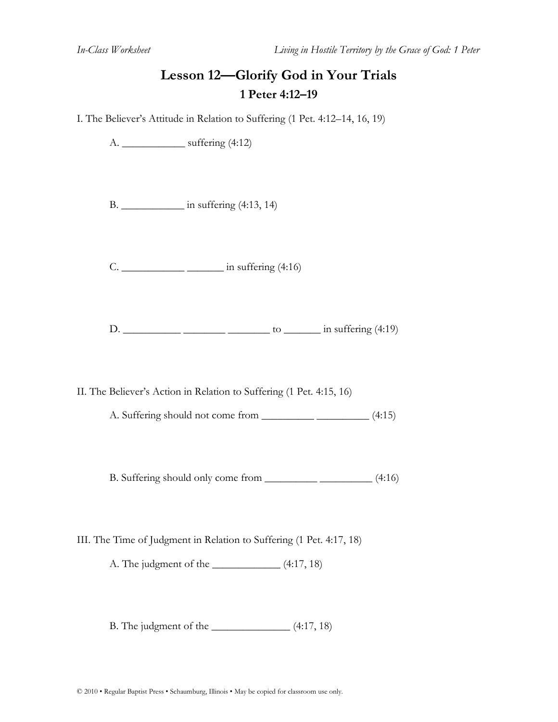# **Lesson 12—Glorify God in Your Trials 1 Peter 4:12–19**

I. The Believer's Attitude in Relation to Suffering (1 Pet. 4:12–14, 16, 19)

A. \_\_\_\_\_\_\_\_\_\_\_\_ suffering (4:12)

B. \_\_\_\_\_\_\_\_\_\_\_\_ in suffering (4:13, 14)

C. \_\_\_\_\_\_\_\_\_\_\_\_ \_\_\_\_\_\_\_ in suffering (4:16)

D.  $\frac{\ }{\ }$   $\frac{\ }{\ }$   $\frac{\ }{\ }$  to  $\frac{\ }{\ }$  in suffering (4:19)

II. The Believer's Action in Relation to Suffering (1 Pet. 4:15, 16)

A. Suffering should not come from \_\_\_\_\_\_\_\_\_\_ \_\_\_\_\_\_\_\_\_\_ (4:15)

B. Suffering should only come from \_\_\_\_\_\_\_\_\_\_ \_\_\_\_\_\_\_\_\_\_ (4:16)

III. The Time of Judgment in Relation to Suffering (1 Pet. 4:17, 18)

A. The judgment of the  $\qquad$  (4:17, 18)

B. The judgment of the \_\_\_\_\_\_\_\_\_\_\_\_\_\_\_ (4:17, 18)